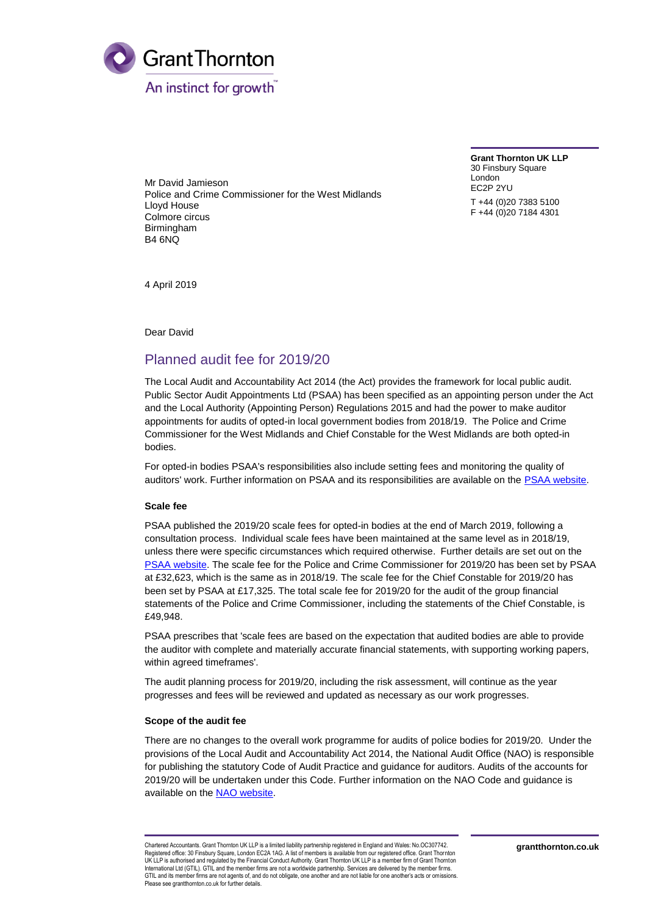

Mr David Jamieson Police and Crime Commissioner for the West Midlands Lloyd House Colmore circus Birmingham B4 6NQ

**Grant Thornton UK LLP** 30 Finsbury Square London EC2P 2YU T +44 (0)20 7383 5100 F +44 (0)20 7184 4301

4 April 2019

Dear David

# Planned audit fee for 2019/20

The Local Audit and Accountability Act 2014 (the Act) provides the framework for local public audit. Public Sector Audit Appointments Ltd (PSAA) has been specified as an appointing person under the Act and the Local Authority (Appointing Person) Regulations 2015 and had the power to make auditor appointments for audits of opted-in local government bodies from 2018/19. The Police and Crime Commissioner for the West Midlands and Chief Constable for the West Midlands are both opted-in bodies.

For opted-in bodies PSAA's responsibilities also include setting fees and monitoring the quality of auditors' work. Further information on PSAA and its responsibilities are available on the [PSAA website.](http://www.psaa.co.uk/about-us/what-we-do/)

# **Scale fee**

PSAA published the 2019/20 scale fees for opted-in bodies at the end of March 2019, following a consultation process. Individual scale fees have been maintained at the same level as in 2018/19, unless there were specific circumstances which required otherwise. Further details are set out on the [PSAA website.](https://www.psaa.co.uk/audit-fees/2019-20-audit-fee-scale/) The scale fee for the Police and Crime Commissioner for 2019/20 has been set by PSAA at £32,623, which is the same as in 2018/19. The scale fee for the Chief Constable for 2019/20 has been set by PSAA at £17,325. The total scale fee for 2019/20 for the audit of the group financial statements of the Police and Crime Commissioner, including the statements of the Chief Constable, is £49,948.

PSAA prescribes that 'scale fees are based on the expectation that audited bodies are able to provide the auditor with complete and materially accurate financial statements, with supporting working papers, within agreed timeframes'.

The audit planning process for 2019/20, including the risk assessment, will continue as the year progresses and fees will be reviewed and updated as necessary as our work progresses.

#### **Scope of the audit fee**

There are no changes to the overall work programme for audits of police bodies for 2019/20. Under the provisions of the Local Audit and Accountability Act 2014, the National Audit Office (NAO) is responsible for publishing the statutory Code of Audit Practice and guidance for auditors. Audits of the accounts for 2019/20 will be undertaken under this Code. Further information on the NAO Code and guidance is available on the NAO [website.](https://www.nao.org.uk/code-audit-practice/)

Chartered Accountants. Grant Thornton UK LLP is a limited liability partnership registered in England and Wales: No.OC307742. Registered office: 30 Finsbury Square, London EC2A 1AG. A list of members is available from our registered office. Grant Thornton UK LLP is authorised and regulated by the Financial Conduct Authority. Grant Thornton UK LLP is a member firm of Grant Thornton International Ltd (GTIL). GTIL and the member firms are not a worldwide partnership. Services are delivered by the member firm GTIL and its member firms are not agents of, and do not obligate, one another and are not liable for one another's acts or omissions Please see grantthornton.co.uk for further details.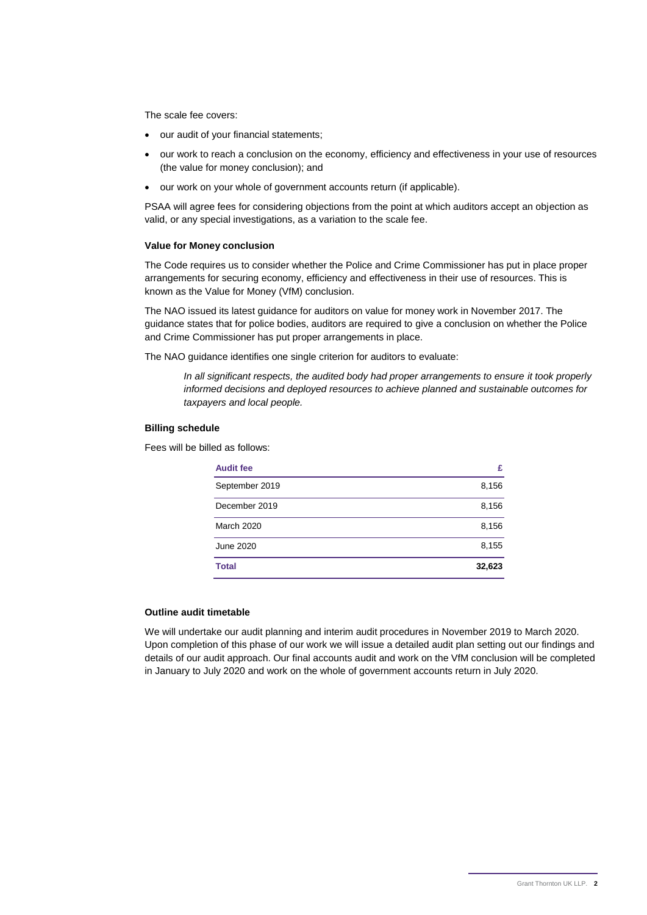The scale fee covers:

- our audit of your financial statements;
- our work to reach a conclusion on the economy, efficiency and effectiveness in your use of resources (the value for money conclusion); and
- our work on your whole of government accounts return (if applicable).

PSAA will agree fees for considering objections from the point at which auditors accept an objection as valid, or any special investigations, as a variation to the scale fee.

#### **Value for Money conclusion**

The Code requires us to consider whether the Police and Crime Commissioner has put in place proper arrangements for securing economy, efficiency and effectiveness in their use of resources. This is known as the Value for Money (VfM) conclusion.

The NAO issued its latest guidance for auditors on value for money work in November 2017. The guidance states that for police bodies, auditors are required to give a conclusion on whether the Police and Crime Commissioner has put proper arrangements in place.

The NAO guidance identifies one single criterion for auditors to evaluate:

*In all significant respects, the audited body had proper arrangements to ensure it took properly informed decisions and deployed resources to achieve planned and sustainable outcomes for taxpayers and local people.*

## **Billing schedule**

Fees will be billed as follows:

| <b>Audit fee</b> | £      |
|------------------|--------|
| September 2019   | 8,156  |
| December 2019    | 8,156  |
| March 2020       | 8,156  |
| June 2020        | 8,155  |
| <b>Total</b>     | 32,623 |

#### **Outline audit timetable**

We will undertake our audit planning and interim audit procedures in November 2019 to March 2020. Upon completion of this phase of our work we will issue a detailed audit plan setting out our findings and details of our audit approach. Our final accounts audit and work on the VfM conclusion will be completed in January to July 2020 and work on the whole of government accounts return in July 2020.